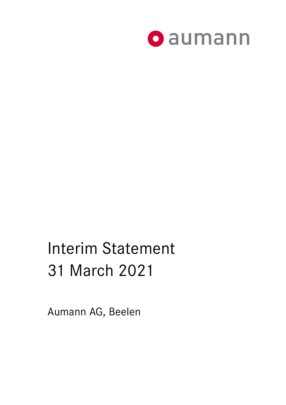

# Interim Statement 31 March 2021

Aumann AG, Beelen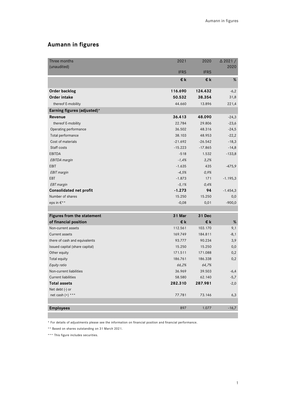# **Aumann in figures**

| Three months                   | 2021        | 2020        | $\triangle$ 2021 / |
|--------------------------------|-------------|-------------|--------------------|
| (unaudited)                    |             |             | 2020               |
|                                | <b>IFRS</b> | <b>IFRS</b> |                    |
|                                | €k          | €k          | $\%$               |
| Order backlog                  | 116.690     | 124.432     | $-6,2$             |
| Order intake                   | 50.532      | 38.354      | 31,8               |
| thereof E-mobility             | 44.660      | 13.896      | 221,4              |
| Earning figures (adjusted)*    |             |             |                    |
| Revenue                        | 36.413      | 48.090      | $-24,3$            |
| thereof E-mobility             | 22.784      | 29.806      | $-23,6$            |
| Operating performance          | 36.502      | 48.316      | $-24,5$            |
| Total performance              | 38.103      | 48.953      | $-22,2$            |
| Cost of materials              | $-21.692$   | $-26.542$   | $-18,3$            |
| Staff costs                    | $-15.223$   | $-17.865$   | $-14,8$            |
| <b>EBITDA</b>                  | $-518$      | 1.532       | $-133,8$           |
| <b>EBITDA</b> margin           | $-1,4%$     | 3,2%        |                    |
| <b>EBIT</b>                    | $-1.635$    | 435         | $-475,9$           |
| <b>EBIT</b> margin             | $-4,5%$     | 0,9%        |                    |
| EBT                            | $-1.873$    | 171         | $-1.195,3$         |
| <b>EBT</b> margin              | $-5,1%$     | 0,4%        |                    |
| <b>Consolidated net profit</b> | $-1.273$    | 94          | $-1.454,3$         |
| Number of shares               | 15.250      | 15.250      | 0,0                |
| eps in €**                     | $-0,08$     | 0,01        | $-900,0$           |
|                                |             |             |                    |
| Figures from the statement     | 31 Mar      | 31 Dec      |                    |
| of financial position          | €k          | €k          | $\%$               |
| Non-current assets             | 112.561     | 103.170     | 9,1                |
| Current assets                 | 169.749     | 184.811     | $-8,1$             |
| there of cash and equivalents  | 93.777      | 90.234      | 3,9                |
| Issued capital (share capital) | 15.250      | 15.250      | 0,0                |
| Other equity                   | 171.511     | 171.088     | 0,2                |
| Total equity                   | 186.761     | 186.338     | 0,2                |
| Equity ratio                   | 66,2%       | 64,7%       |                    |
| Non-current liabilities        | 36.969      | 39.503      | $-6,4$             |
| <b>Current liabilities</b>     | 58.580      | 62.140      | $-5,7$             |
| <b>Total assets</b>            | 282.310     | 287.981     | $-2,0$             |
| Net debt (-) or                |             |             |                    |
| net cash (+) ***               | 77.781      | 73.146      | 6,3                |
|                                |             |             |                    |
| <b>Employees</b>               | 897         | 1.077       | $-16,7$            |

\* For details of adjustments please see the information on financial position and financial performance.

\*\* Based on shares outstanding on 31 March 2021.

\*\*\* This figure includes securities.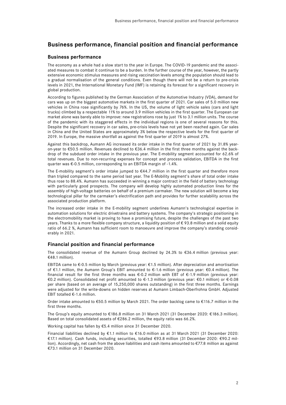### **Business performance, financial position and financial performance**

#### **Business performance**

The economy as a whole had a slow start to the year in Europe. The COVID-19 pandemic and the associated measures to combat it continue to be a burden. In the further course of the year, however, the partly extensive economic stimulus measures and rising vaccination levels among the population should lead to a gradual normalisation of the general conditions. Even though there will not be a return to pre-crisis levels in 2021, the International Monetary Fund (IMF) is retaining its forecast for a significant recovery in global production.

According to figures published by the German Association of the Automotive Industry (VDA), demand for cars was up on the biggest automotive markets in the first quarter of 2021. Car sales of 5.0 million new vehicles in China rose significantly by 76%. In the US, the volume of light vehicle sales (cars and light trucks) climbed by a respectable 11% to around 3.9 million vehicles in the first quarter. The European car market alone was barely able to improve: new registrations rose by just 1% to 3.1 million units. The course of the pandemic with its staggered effects in the individual regions is one of several reasons for this. Despite the significant recovery in car sales, pre-crisis levels have not yet been reached again. Car sales in China and the United States are approximately 3% below the respective levels for the first quarter of 2019. In Europe, the massive shortfall as against the first quarter of 2019 is almost 27%.

Against this backdrop, Aumann AG increased its order intake in the first quarter of 2021 by 31.8% yearon-year to €50.5 million. Revenues declined to €36.4 million in the first three months against the backdrop of the subdued order intake in the previous year. The E-mobility segment accounted for 62.6% of total revenues. Due to non-recurring expenses for concept and process validation, EBITDA in the first quarter was €-0.5 million, corresponding to an EBITDA margin of -1.4%.

The E-mobility segment's order intake jumped to €44.7 million in the first quarter and therefore more than tripled compared to the same period last year. The E-Mobility segment's share of total order intake thus rose to 88.4%. Aumann has succeeded in winning a major contract in the field of battery technology with particularly good prospects. The company will develop highly automated production lines for the assembly of high-voltage batteries on behalf of a premium carmaker. The new solution will become a key technological pillar for the carmaker's electrification path and provides for further scalability across the associated production platform.

The increased order intake in the E-mobility segment underlines Aumann's technological expertise in automation solutions for electric drivetrains and battery systems. The company's strategic positioning in the electromobility market is proving to have a promising future, despite the challenges of the past two years. Thanks to a more flexible company structure, a liquidity position of € 93.8 million and a solid equity ratio of 66.2 %, Aumann has sufficient room to manoeuvre and improve the company's standing considerably in 2021.

#### **Financial position and financial performance**

The consolidated revenue of the Aumann Group declined by 24.3% to  $\epsilon$ 36.4 million (previous year: €48.1 million).

EBITDA came to  $\epsilon$ -0.5 million by March (previous year:  $\epsilon$ 1.5 million). After depreciation and amortisation of €1.1 million, the Aumann Group's EBIT amounted to €-1.6 million (previous year: €0.4 million). The financial result for the first three months was  $\epsilon$ -0.2 million with EBT of  $\epsilon$ -1.9 million (previous year: €0.2 million). Consolidated net profit amounted to €-1.3 million (previous year: €0.1 million) or €-0.08 per share (based on an average of 15,250,000 shares outstanding) in the first three months. Earnings were adjusted for the write-downs on hidden reserves at Aumann Limbach-Oberfrohna GmbH. Adjusted EBIT totalled €-1.6 million.

Order intake amounted to €50.5 million by March 2021. The order backlog came to €116.7 million in the first three months.

The Group's equity amounted to €186.8 million on 31 March 2021 (31 December 2020: €186.3 million). Based on total consolidated assets of  $E286.2$  million, the equity ratio was 66.2%.

Working capital has fallen by €5.4 million since 31 December 2020.

Financial liabilities declined by €1.1 million to €16.0 million as at 31 March 2021 (31 December 2020: €17.1 million). Cash funds, including securities, totalled €93.8 million (31 December 2020: €90.2 million). Accordingly, net cash from the above liabilities and cash items amounted to €77.8 million as against €73.1 million on 31 December 2020.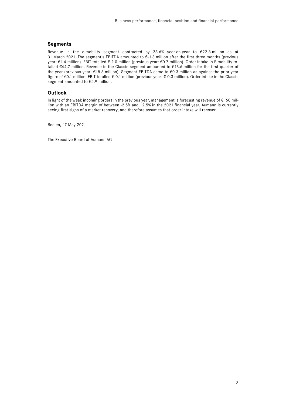#### **Segments**

Revenue in the e-mobility segment contracted by 23.6% year-on-year to €22.8 million as at 31 March 2021. The segment's EBITDA amounted to €-1.3 million after the first three months (previous year: €1.4 million). EBIT totalled €-2.0 million (previous year: €0.7 million). Order intake in E-mobility totalled €44.7 million. Revenue in the Classic segment amounted to €13.6 million for the first quarter of the year (previous year: €18.3 million). Segment EBITDA came to €0.3 million as against the prior-year figure of €0.1 million. EBIT totalled €-0.1 million (previous year: €-0.3 million). Order intake in the Classic segment amounted to €5.9 million.

#### **Outlook**

In light of the weak incoming orders in the previous year, management is forecasting revenue of €160 million with an EBITDA margin of between -2.5% and +2.5% in the 2021 financial year. Aumann is currently seeing first signs of a market recovery, and therefore assumes that order intake will recover.

Beelen, 17 May 2021

The Executive Board of Aumann AG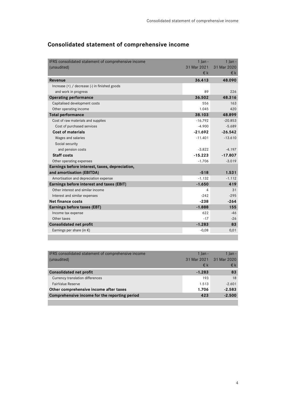| IFRS consolidated statement of comprehensive income | $1$ lan -   | $1$ lan -    |
|-----------------------------------------------------|-------------|--------------|
| (unaudited)                                         | 31 Mar 2021 | 31 Mar 2020  |
|                                                     | $\n  \in$   | $\epsilon$ k |
| Revenue                                             | 36.413      | 48.090       |
| Increase $(+)$ / decrease $(-)$ in finished goods   |             |              |
| and work in progress                                | 89          | 226          |
| <b>Operating performance</b>                        | 36.502      | 48.316       |
| Capitalised development costs                       | 556         | 163          |
| Other operating income                              | 1.045       | 420          |
| <b>Total performance</b>                            | 38.103      | 48.899       |
| Cost of raw materials and supplies                  | $-16.792$   | $-20.853$    |
| Cost of purchased services                          | $-4.900$    | $-5.689$     |
| <b>Cost of materials</b>                            | $-21.692$   | $-26.542$    |
| Wages and salaries                                  | $-11.401$   | $-13.610$    |
| Social security                                     |             |              |
| and pension costs                                   | $-3.822$    | $-4.197$     |
| <b>Staff costs</b>                                  | $-15.223$   | $-17.807$    |
| Other operating expenses                            | $-1.706$    | $-3.019$     |
| Earnings before interest, taxes, depreciation,      |             |              |
| and amortisation (EBITDA)                           | $-518$      | 1.531        |
| Amortisation and depreciation expense               | $-1.132$    | $-1.112$     |
| Earnings before interest and taxes (EBIT)           | $-1.650$    | 419          |
| Other interest and similar income                   | 4           | 31           |
| Interest and similar expenses                       | $-242$      | $-295$       |
| Net finance costs                                   | $-238$      | $-264$       |
| <b>Earnings before taxes (EBT)</b>                  | $-1.888$    | 155          |
| Income tax expense                                  | 622         | $-46$        |
| Other taxes                                         | $-17$       | $-26$        |
| <b>Consolidated net profit</b>                      | $-1.283$    | 83           |
| Earnings per share (in $\epsilon$ )                 | $-0,08$     | 0,01         |
|                                                     |             |              |

## **Consolidated statement of comprehensive income**

| IFRS consolidated statement of comprehensive income | 1 Ian $-$ | 1 Ian $-$               |
|-----------------------------------------------------|-----------|-------------------------|
| (unaudited)                                         |           | 31 Mar 2021 31 Mar 2020 |
|                                                     | €k        | $\epsilon$ k            |
| <b>Consolidated net profit</b>                      | $-1.283$  | 83                      |
| Currency translation differences                    | 193       | 18                      |
| FairValue Reserve                                   | 1.513     | $-2.601$                |
| Other comprehensive income after taxes              | 1.706     | $-2.583$                |
| Comprehensive income for the reporting period       | 423       | $-2.500$                |
|                                                     |           |                         |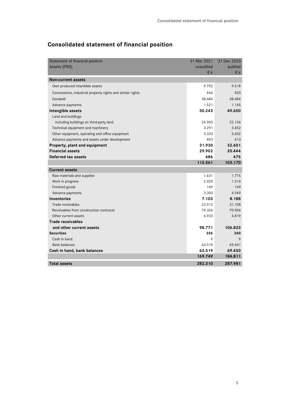| Statement of financial position                            | 31 Mar 2021 | 31 Dec 2020 |
|------------------------------------------------------------|-------------|-------------|
| Assets (IFRS)                                              | unaudited   | audited     |
|                                                            | €k          | €k          |
| <b>Non-current assets</b>                                  |             |             |
| Own produced intanbible assets                             | 9.792       | 9.518       |
| Concessions, industrial property rights and similar rights | 446         | 503         |
| Goodwill                                                   | 38.484      | 38.484      |
| Advance payments                                           | 1.521       | 1.145       |
| Intangible assets                                          | 50.243      | 49.650      |
| Land and buildings                                         |             |             |
| including buildings on third-party land                    | 24.903      | 25.134      |
| Technical equipment and machinery                          | 3.291       | 3.452       |
| Other equipment, operating and office equipment            | 3.333       | 3.602       |
| Advance payments and assets under development              | 403         | 413         |
| Property, plant and equipment                              | 31.930      | 32.601      |
| <b>Financial assets</b>                                    | 29.902      | 20.444      |
| Deferred tax assets                                        | 486         | 475         |
|                                                            | 112.561     | 103.170     |
| <b>Current assets</b>                                      |             |             |
| Raw materials and supplies                                 | 1.631       | 1.776       |
| Work in progress                                           | 2.020       | 1.314       |
| Finished goods                                             | 149         | 149         |
| Advance payments                                           | 3.303       | 4.949       |
| <b>Inventories</b>                                         | 7.103       | 8.188       |
| Trade receivables                                          | 23.512      | 31.108      |
| Receivables from construction contracts                    | 70.326      | 70.906      |
| Other current assets                                       | 4.933       | 4.819       |
| <b>Trade receivables</b>                                   |             |             |
| and other current assets                                   | 98.771      | 106.833     |
| <b>Securities</b>                                          | 356         | 340         |
| Cash in hand                                               | 9           | 9           |
| <b>Bank balances</b>                                       | 63.510      | 69.441      |
| Cash in hand, bank balances                                | 63.519      | 69.450      |
|                                                            | 169.749     | 184.811     |
| <b>Total assets</b>                                        | 282.310     | 287.981     |
|                                                            |             |             |

# **Consolidated statement of financial position**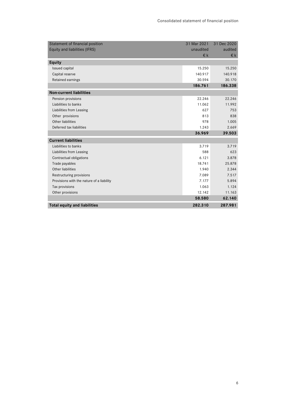| Statement of financial position           | 31 Mar 2021 | 31 Dec 2020  |
|-------------------------------------------|-------------|--------------|
| Equity and liabilities (IFRS)             | unaudited   | audited      |
|                                           | $\n  \in$   | $\epsilon$ k |
| <b>Equity</b>                             |             |              |
| <b>Issued capital</b>                     | 15.250      | 15.250       |
| Capital reserve                           | 140.917     | 140.918      |
| Retained earnings                         | 30.594      | 30.170       |
|                                           | 186.761     | 186.338      |
| <b>Non-current liabilities</b>            |             |              |
| Pension provisions                        | 22.246      | 22.246       |
| Liabilities to banks                      | 11.062      | 11.992       |
| Liabilities from Leasing                  | 627         | 753          |
| Other provisions                          | 813         | 838          |
| Other liabilities                         | 978         | 1.005        |
| Deferred tax liabilities                  | 1.243       | 2.669        |
|                                           | 36.969      | 39.503       |
| <b>Current liabilities</b>                |             |              |
| Liabilities to banks                      | 3.719       | 3.719        |
| Liabilities from Leasing                  | 588         | 623          |
| Contractual obligations                   | 6.121       | 3.878        |
| Trade payables                            | 18.741      | 25.878       |
| Other liabilities                         | 1.940       | 2.344        |
| Restructuring provisions                  | 7.089       | 7.517        |
| Provisions with the nature of a liability | 7.177       | 5.894        |
| Tax provisions                            | 1.063       | 1.124        |
| Other provisions                          | 12.142      | 11.163       |
|                                           | 58.580      | 62.140       |
| <b>Total equity and liabilities</b>       | 282.310     | 287.981      |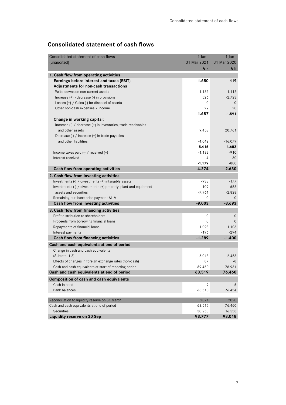## **Consolidated statement of cash flows**

| Consolidated statement of cash flows                            | $1$ Jan -        | $1$ Jan -        |
|-----------------------------------------------------------------|------------------|------------------|
| (unaudited)                                                     | 31 Mar 2021      | 31 Mar 2020      |
|                                                                 | €k               | €k               |
| 1. Cash flow from operating activities                          |                  |                  |
| Earnings before interest and taxes (EBIT)                       | $-1.650$         | 419              |
| Adjustments for non-cash transactions                           |                  |                  |
| Write-downs on non-current assets                               | 1.132            | 1.112            |
| Increase (+) / decrease (-) in provisions                       | 526              | $-2.723$         |
| Losses $(+)$ / Gains $(-)$ for disposel of assets               | 0                | $\mathbf{0}$     |
| Other non-cash expenses / income                                | 29               | 20               |
|                                                                 | 1.687            | $-1.591$         |
| Change in working capital:                                      |                  |                  |
| Increase (-) / decrease (+) in inventories, trade receivables   |                  |                  |
| and other assets                                                | 9.458            | 20.761           |
| Decrease (-) / increase (+) in trade payables                   |                  |                  |
| and other liabilities                                           | $-4.042$         | $-16.079$        |
|                                                                 | 5.416            | 4.682            |
| Income taxes paid $(-)$ / received $(+)$                        | $-1.183$         | $-910$           |
| Interest received                                               | 4                | 30               |
|                                                                 | $-1.179$         | $-880$           |
| Cash flow from operating activities                             | 4.274            | 2.630            |
| 2. Cash flow from investing activities                          |                  |                  |
| Investments (-) / divestments (+) intangible assets             | $-933$           | $-177$           |
| Investments (-) / divestments (+) property, plant and equipment | $-109$           | $-688$           |
| assets and securities                                           | $-7.961$         | $-2.828$         |
| Remaining purchase price payment ALIM                           | 0                | $\Omega$         |
| Cash flow from investing activities                             | $-9.003$         | $-3.693$         |
| 3. Cash flow from financing activities                          |                  |                  |
| Profit distribution to shareholders                             | 0                | 0                |
| Proceeds from borrowing financial loans                         | 0                | $\Omega$         |
| Repayments of financial loans                                   | $-1.093$         | $-1.106$         |
| Interest payments                                               | $-196$           | $-294$           |
| Cash flow from financing activities                             | $-1.289$         | $-1.400$         |
| Cash and cash equivalents at end of period                      |                  |                  |
| Change in cash and cash equivalents                             |                  |                  |
| (Subtotal 1-3)                                                  | $-6.018$         | $-2.463$         |
| Effects of changes in foreign exchange rates (non-cash)         | 87               | -8               |
| Cash and cash equivalents at start of reporting period          | 69.450           | 78.931           |
| Cash and cash equivalents at end of period                      | 63.519           | 76.460           |
| Composition of cash and cash equivalents                        |                  |                  |
| Cash in hand                                                    | 9                | 6                |
| <b>Bank balances</b>                                            | 63.510           | 76.454           |
|                                                                 |                  |                  |
| Reconciliation to liquidity reserve on 31 March                 | 2021             | 2020             |
| Cash and cash equivalents at end of period<br><b>Securities</b> | 63.519<br>30.258 | 76.460<br>16.558 |
| <b>Liquidity reserve on 30 Sep</b>                              | 93.777           | 93.018           |
|                                                                 |                  |                  |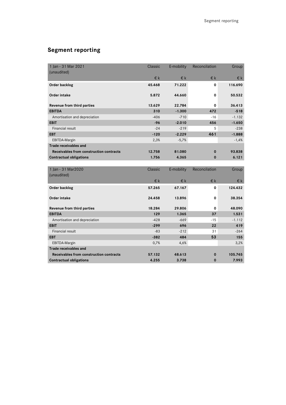# **Segment reporting**

| 1 Jan - 31 Mar 2021                     | Classic | E-mobility | Reconcilation | Group    |
|-----------------------------------------|---------|------------|---------------|----------|
| (unaudited)                             |         |            |               |          |
|                                         | €k      | €k         | €k            | €k       |
| Order backlog                           | 45.468  | 71.222     | 0             | 116.690  |
| <b>Order intake</b>                     | 5.872   | 44.660     | $\mathbf 0$   | 50.532   |
| Revenue from third parties              | 13.629  | 22.784     | $\Omega$      | 36.413   |
| <b>EBITDA</b>                           | 310     | $-1.300$   | 472           | $-518$   |
| Amortisation and depreciation           | $-406$  | $-710$     | $-16$         | $-1.132$ |
| <b>EBIT</b>                             | $-96$   | $-2.010$   | 456           | $-1.650$ |
| <b>Financial result</b>                 | $-24$   | $-219$     | 5             | $-238$   |
| <b>EBT</b>                              | $-120$  | $-2.229$   | 461           | $-1.888$ |
| EBITDA-Margin                           | 2,3%    | $-5,7%$    |               | $-1,4%$  |
| <b>Trade receivables and</b>            |         |            |               |          |
| Receivables from construction contracts | 12.758  | 81.080     | $\Omega$      | 93.838   |
| <b>Contractual obligations</b>          | 1.756   | 4.365      | $\bf{0}$      | 6.121    |
|                                         |         |            |               |          |
| 1 Ian - 31 Mar2020                      | Classic | E-mobility | Reconcilation | Group    |
| (unaudited)                             |         |            |               |          |
|                                         | €k      | $E$ k      | €k            | €k       |
| Order backlog                           | 57.265  | 67.167     | 0             | 124.432  |
| <b>Order intake</b>                     | 24.458  | 13.896     | $\mathbf 0$   | 38.354   |
| Revenue from third parties              | 18.284  | 29.806     | 0             | 48.090   |
| <b>EBITDA</b>                           | 129     | 1.365      | 37            | 1.531    |
| Amortisation and depreciation           | $-428$  | $-669$     | -15           | $-1.112$ |
| <b>EBIT</b>                             | $-299$  | 696        | 22            | 419      |
| <b>Financial result</b>                 | $-83$   | $-212$     | 31            | $-264$   |
| <b>EBT</b>                              | $-382$  | 484        | 53            | 155      |
| EBITDA-Margin                           | 0,7%    | 4,6%       |               | 3,2%     |
| <b>Trade receivables and</b>            |         |            |               |          |
| Receivables from construction contracts | 57.132  | 48.613     | 0             | 105.745  |
| <b>Contractual obligations</b>          | 4.255   | 3.738      | $\bf{0}$      | 7.993    |